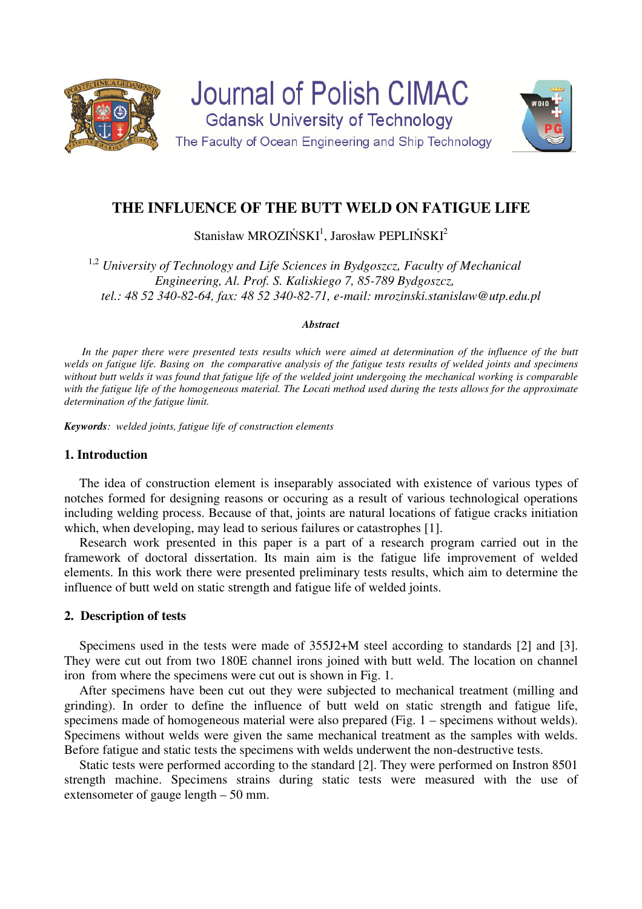

# **THE INFLUENCE OF THE BUTT WELD ON FATIGUE LIFE**

Stanisław MROZIŃS $KI^1$ , Jarosław PEPLIŃSKI<sup>2</sup>

<sup>1,2</sup> University of Technology and Life Sciences in Bydgoszcz, Faculty of Mechanical *Engineering, Al. Prof. S. Kaliskiego 7, 85-789 Bydgoszcz, tel.: 48 52 340-82-64, fax: 48 52 340-82-71, e-mail: mrozinski.stanislaw@utp.edu.pl* 

#### *Abstract*

In the paper there were presented tests results which were aimed at determination of the influence of the butt *welds on fatigue life. Basing on the comparative analysis of the fatigue tests results of welded joints and specimens without butt welds it was found that fatigue life of the welded joint undergoing the mechanical working is comparable*  with the fatigue life of the homogeneous material. The Locati method used during the tests allows for the approximate *determination of the fatigue limit.* 

*Keywords: welded joints, fatigue life of construction elements* 

# **1. Introduction**

 The idea of construction element is inseparably associated with existence of various types of notches formed for designing reasons or occuring as a result of various technological operations including welding process. Because of that, joints are natural locations of fatigue cracks initiation which, when developing, may lead to serious failures or catastrophes [1].

Research work presented in this paper is a part of a research program carried out in the framework of doctoral dissertation. Its main aim is the fatigue life improvement of welded elements. In this work there were presented preliminary tests results, which aim to determine the influence of butt weld on static strength and fatigue life of welded joints.

## **2. Description of tests**

Specimens used in the tests were made of 355J2+M steel according to standards [2] and [3]. They were cut out from two 180E channel irons joined with butt weld. The location on channel iron from where the specimens were cut out is shown in Fig. 1.

After specimens have been cut out they were subjected to mechanical treatment (milling and grinding). In order to define the influence of butt weld on static strength and fatigue life, specimens made of homogeneous material were also prepared (Fig. 1 – specimens without welds). Specimens without welds were given the same mechanical treatment as the samples with welds. Before fatigue and static tests the specimens with welds underwent the non-destructive tests.

Static tests were performed according to the standard [2]. They were performed on Instron 8501 strength machine. Specimens strains during static tests were measured with the use of extensometer of gauge length – 50 mm.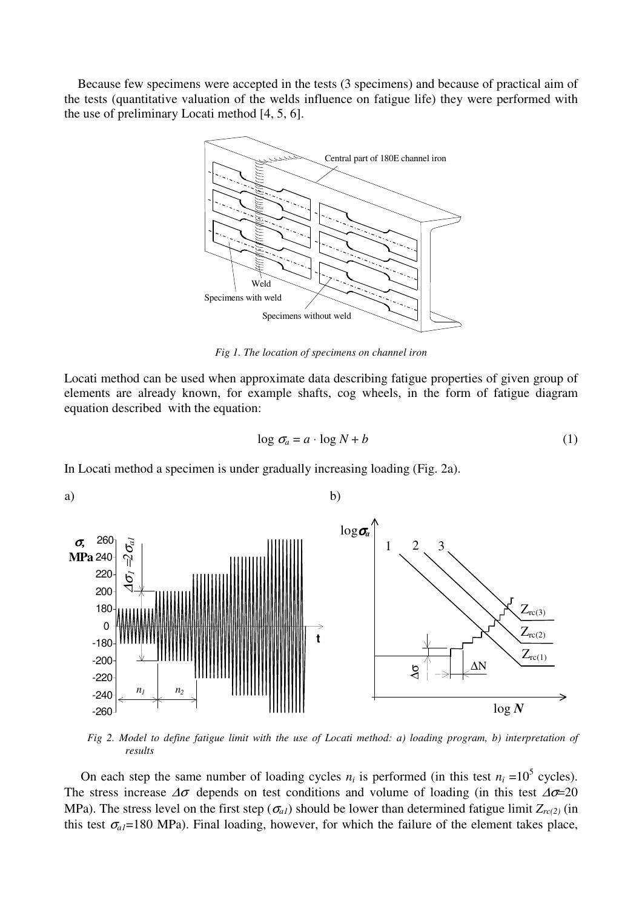Because few specimens were accepted in the tests (3 specimens) and because of practical aim of the tests (quantitative valuation of the welds influence on fatigue life) they were performed with the use of preliminary Locati method [4, 5, 6].



*Fig 1. The location of specimens on channel iron* 

Locati method can be used when approximate data describing fatigue properties of given group of elements are already known, for example shafts, cog wheels, in the form of fatigue diagram equation described with the equation:

$$
\log \sigma_a = a \cdot \log N + b \tag{1}
$$

In Locati method a specimen is under gradually increasing loading (Fig. 2a).



*Fig 2. Model to define fatigue limit with the use of Locati method: a) loading program, b) interpretation of results* 

On each step the same number of loading cycles  $n_i$  is performed (in this test  $n_i = 10^5$  cycles). The stress increase  $\Delta\sigma$  depends on test conditions and volume of loading (in this test  $\Delta\sigma$ =20 MPa). The stress level on the first step ( $\sigma_{a1}$ ) should be lower than determined fatigue limit  $Z_{rc(2)}$  (in this test  $\sigma_{aI}$ =180 MPa). Final loading, however, for which the failure of the element takes place,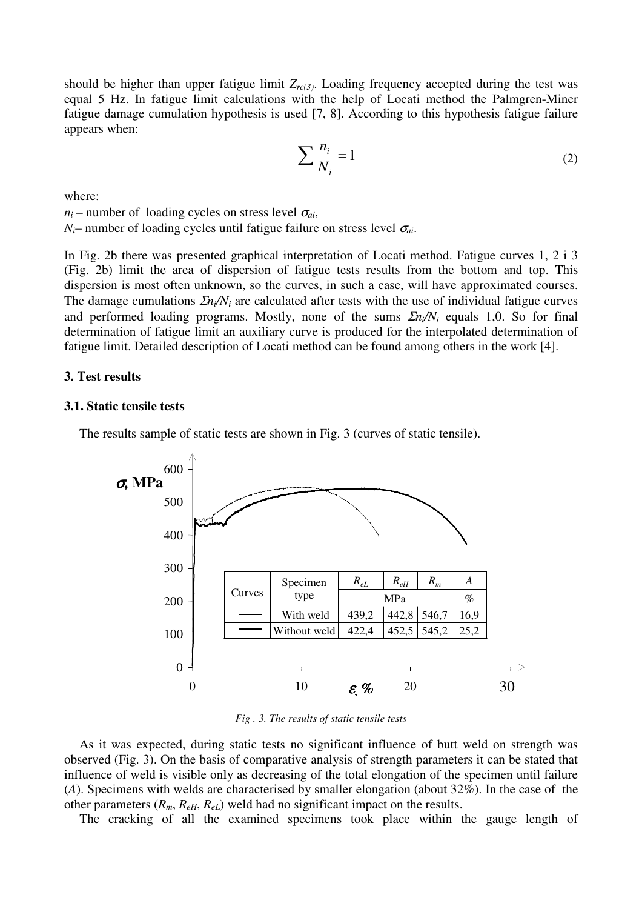should be higher than upper fatigue limit *Zrc(3)*. Loading frequency accepted during the test was equal 5 Hz. In fatigue limit calculations with the help of Locati method the Palmgren-Miner fatigue damage cumulation hypothesis is used [7, 8]. According to this hypothesis fatigue failure appears when:

$$
\sum \frac{n_i}{N_i} = 1\tag{2}
$$

where:

 $n_i$  – number of loading cycles on stress level  $\sigma_{ai}$ ,

 $N_i$ – number of loading cycles until fatigue failure on stress level  $\sigma_{ai}$ .

In Fig. 2b there was presented graphical interpretation of Locati method. Fatigue curves 1, 2 i 3 (Fig. 2b) limit the area of dispersion of fatigue tests results from the bottom and top. This dispersion is most often unknown, so the curves, in such a case, will have approximated courses. The damage cumulations Σ*ni/N<sup>i</sup>* are calculated after tests with the use of individual fatigue curves and performed loading programs. Mostly, none of the sums Σ*ni/N<sup>i</sup>* equals 1,0. So for final determination of fatigue limit an auxiliary curve is produced for the interpolated determination of fatigue limit. Detailed description of Locati method can be found among others in the work [4].

## **3. Test results**

#### **3.1. Static tensile tests**

The results sample of static tests are shown in Fig. 3 (curves of static tensile).



*Fig . 3. The results of static tensile tests* 

As it was expected, during static tests no significant influence of butt weld on strength was observed (Fig. 3). On the basis of comparative analysis of strength parameters it can be stated that influence of weld is visible only as decreasing of the total elongation of the specimen until failure (*A*). Specimens with welds are characterised by smaller elongation (about 32%). In the case of the other parameters  $(R_m, R_{eH}, R_{eL})$  weld had no significant impact on the results.

The cracking of all the examined specimens took place within the gauge length of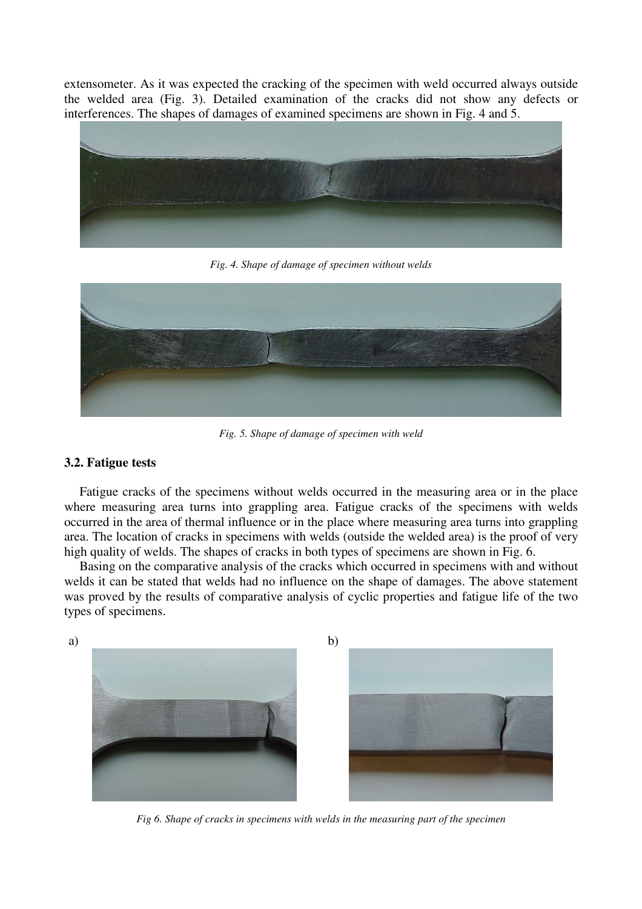extensometer. As it was expected the cracking of the specimen with weld occurred always outside the welded area (Fig. 3). Detailed examination of the cracks did not show any defects or interferences. The shapes of damages of examined specimens are shown in Fig. 4 and 5.



*Fig. 4. Shape of damage of specimen without welds* 



*Fig. 5. Shape of damage of specimen with weld* 

# **3.2. Fatigue tests**

Fatigue cracks of the specimens without welds occurred in the measuring area or in the place where measuring area turns into grappling area. Fatigue cracks of the specimens with welds occurred in the area of thermal influence or in the place where measuring area turns into grappling area. The location of cracks in specimens with welds (outside the welded area) is the proof of very high quality of welds. The shapes of cracks in both types of specimens are shown in Fig. 6.

 Basing on the comparative analysis of the cracks which occurred in specimens with and without welds it can be stated that welds had no influence on the shape of damages. The above statement was proved by the results of comparative analysis of cyclic properties and fatigue life of the two types of specimens.



*Fig 6. Shape of cracks in specimens with welds in the measuring part of the specimen*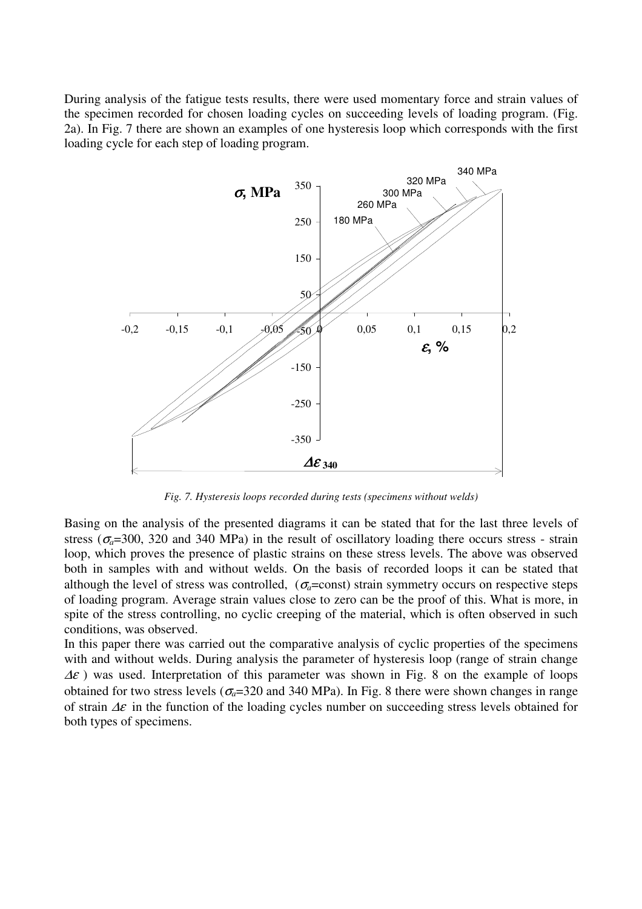During analysis of the fatigue tests results, there were used momentary force and strain values of the specimen recorded for chosen loading cycles on succeeding levels of loading program. (Fig. 2a). In Fig. 7 there are shown an examples of one hysteresis loop which corresponds with the first loading cycle for each step of loading program.



*Fig. 7. Hysteresis loops recorded during tests (specimens without welds)* 

Basing on the analysis of the presented diagrams it can be stated that for the last three levels of stress ( $\sigma_a$ =300, 320 and 340 MPa) in the result of oscillatory loading there occurs stress - strain loop, which proves the presence of plastic strains on these stress levels. The above was observed both in samples with and without welds. On the basis of recorded loops it can be stated that although the level of stress was controlled,  $(\sigma_a = \text{const})$  strain symmetry occurs on respective steps of loading program. Average strain values close to zero can be the proof of this. What is more, in spite of the stress controlling, no cyclic creeping of the material, which is often observed in such conditions, was observed.

In this paper there was carried out the comparative analysis of cyclic properties of the specimens with and without welds. During analysis the parameter of hysteresis loop (range of strain change  $\Delta \varepsilon$ ) was used. Interpretation of this parameter was shown in Fig. 8 on the example of loops obtained for two stress levels ( $\sigma_a$ =320 and 340 MPa). In Fig. 8 there were shown changes in range of strain  $\Delta \varepsilon$  in the function of the loading cycles number on succeeding stress levels obtained for both types of specimens.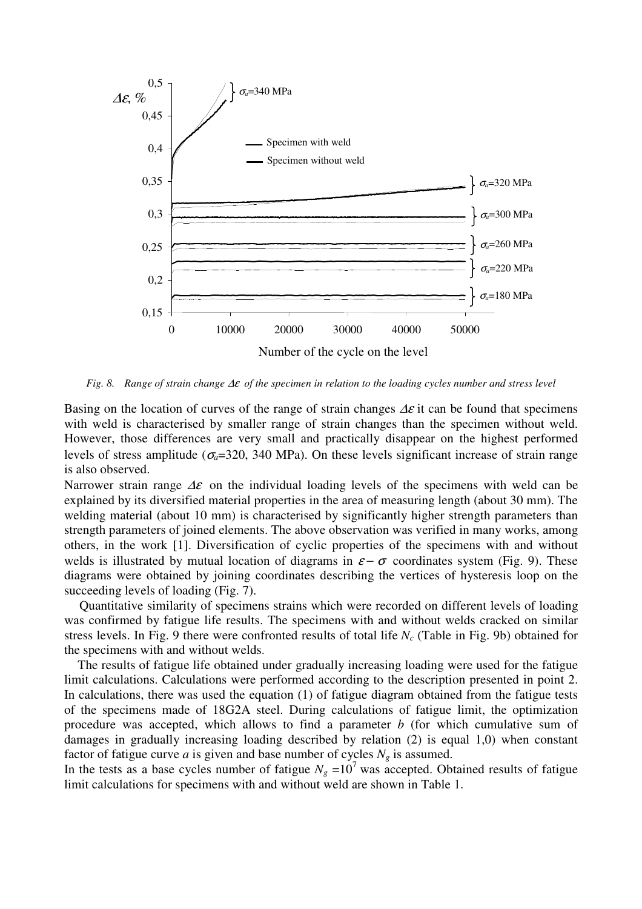

*Fig. 8. Range of strain change* ∆ε *of the specimen in relation to the loading cycles number and stress level* 

Basing on the location of curves of the range of strain changes  $\Delta \varepsilon$  it can be found that specimens with weld is characterised by smaller range of strain changes than the specimen without weld. However, those differences are very small and practically disappear on the highest performed levels of stress amplitude ( $\sigma_a$ =320, 340 MPa). On these levels significant increase of strain range is also observed.

Narrower strain range  $\Delta \varepsilon$  on the individual loading levels of the specimens with weld can be explained by its diversified material properties in the area of measuring length (about 30 mm). The welding material (about 10 mm) is characterised by significantly higher strength parameters than strength parameters of joined elements. The above observation was verified in many works, among others, in the work [1]. Diversification of cyclic properties of the specimens with and without welds is illustrated by mutual location of diagrams in  $\varepsilon - \sigma$  coordinates system (Fig. 9). These diagrams were obtained by joining coordinates describing the vertices of hysteresis loop on the succeeding levels of loading (Fig. 7).

 Quantitative similarity of specimens strains which were recorded on different levels of loading was confirmed by fatigue life results. The specimens with and without welds cracked on similar stress levels. In Fig. 9 there were confronted results of total life *Nc* (Table in Fig. 9b) obtained for the specimens with and without welds.

 The results of fatigue life obtained under gradually increasing loading were used for the fatigue limit calculations. Calculations were performed according to the description presented in point 2. In calculations, there was used the equation (1) of fatigue diagram obtained from the fatigue tests of the specimens made of 18G2A steel. During calculations of fatigue limit, the optimization procedure was accepted, which allows to find a parameter *b* (for which cumulative sum of damages in gradually increasing loading described by relation (2) is equal 1,0) when constant factor of fatigue curve *a* is given and base number of cycles  $N_g$  is assumed.

In the tests as a base cycles number of fatigue  $N_g = 10^7$  was accepted. Obtained results of fatigue limit calculations for specimens with and without weld are shown in Table 1.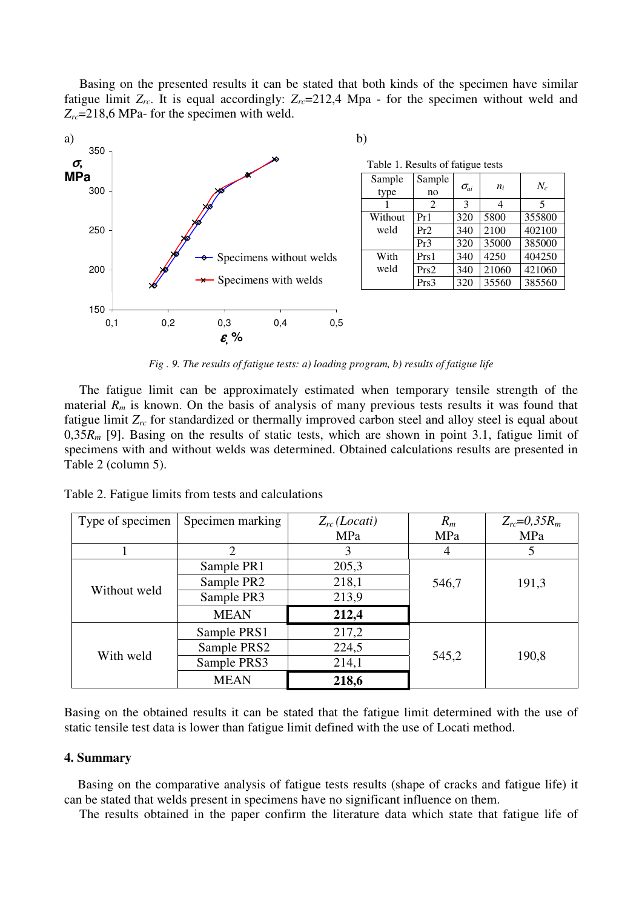Basing on the presented results it can be stated that both kinds of the specimen have similar fatigue limit  $Z_{rc}$ . It is equal accordingly:  $Z_{rc}$ =212,4 Mpa - for the specimen without weld and *Zrc*=218,6 MPa- for the specimen with weld.



*Fig . 9. The results of fatigue tests: a) loading program, b) results of fatigue life* 

The fatigue limit can be approximately estimated when temporary tensile strength of the material  $R_m$  is known. On the basis of analysis of many previous tests results it was found that fatigue limit *Zrc* for standardized or thermally improved carbon steel and alloy steel is equal about 0,35*Rm* [9]. Basing on the results of static tests, which are shown in point 3.1, fatigue limit of specimens with and without welds was determined. Obtained calculations results are presented in Table 2 (column 5).

| Table 2. Fatigue limits from tests and calculations |  |
|-----------------------------------------------------|--|
|-----------------------------------------------------|--|

| Type of specimen | Specimen marking | $Z_{rc}$ (Locati) | $R_m$ | $Z_{rc} = 0.35 R_m$ |
|------------------|------------------|-------------------|-------|---------------------|
|                  |                  | MPa               | MPa   | MPa                 |
|                  | $\overline{2}$   |                   | 4     | 5                   |
| Without weld     | Sample PR1       | 205,3             |       |                     |
|                  | Sample PR2       | 218,1             | 546,7 | 191,3               |
|                  | Sample PR3       | 213,9             |       |                     |
|                  | <b>MEAN</b>      | 212,4             |       |                     |
|                  | Sample PRS1      | 217,2             |       |                     |
| With weld        | Sample PRS2      | 224,5             |       |                     |
|                  | Sample PRS3      | 214,1             | 545,2 | 190,8               |
|                  | <b>MEAN</b>      | 218,6             |       |                     |

Basing on the obtained results it can be stated that the fatigue limit determined with the use of static tensile test data is lower than fatigue limit defined with the use of Locati method.

#### **4. Summary**

Basing on the comparative analysis of fatigue tests results (shape of cracks and fatigue life) it can be stated that welds present in specimens have no significant influence on them.

The results obtained in the paper confirm the literature data which state that fatigue life of